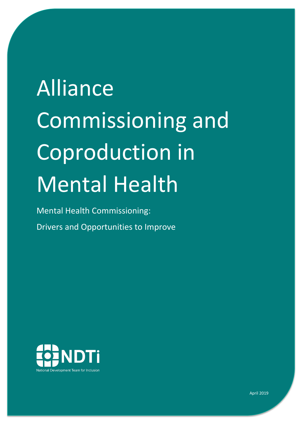# Alliance Commissioning and Coproduction in Mental Health

Mental Health Commissioning: Drivers and Opportunities to Improve



April 2019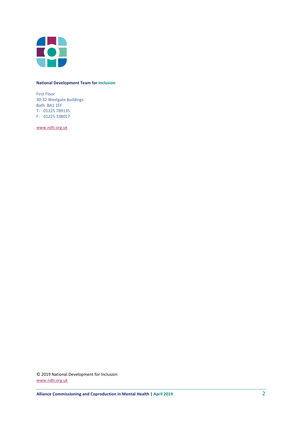

#### **National Development Team for Inclusion**

First Floor 30-32 Westgate Buildings Bath BA1 1EF T: 01225 789135 F: 01225 338017

[www.ndti.org.uk](http://www.ndti.org.uk/)

© 2019 National Development for Inclusion [www.ndti.org.uk](http://www.ndti.org.uk/)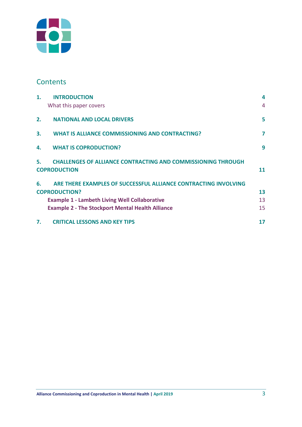

## **Contents**

| 1 <sub>1</sub> | <b>INTRODUCTION</b>                                                                    | 4              |
|----------------|----------------------------------------------------------------------------------------|----------------|
|                | What this paper covers                                                                 | $\overline{4}$ |
| 2.             | <b>NATIONAL AND LOCAL DRIVERS</b>                                                      | 5              |
| 3.             | <b>WHAT IS ALLIANCE COMMISSIONING AND CONTRACTING?</b>                                 | 7              |
| 4.             | <b>WHAT IS COPRODUCTION?</b>                                                           | 9              |
|                | 5. CHALLENGES OF ALLIANCE CONTRACTING AND COMMISSIONING THROUGH<br><b>COPRODUCTION</b> | 11             |
| 6.             | ARE THERE EXAMPLES OF SUCCESSFUL ALLIANCE CONTRACTING INVOLVING                        |                |
|                | <b>COPRODUCTION?</b>                                                                   | 13             |
|                | <b>Example 1 - Lambeth Living Well Collaborative</b>                                   | 13             |
|                | <b>Example 2 - The Stockport Mental Health Alliance</b>                                | 15             |
| 7.             | <b>CRITICAL LESSONS AND KEY TIPS</b>                                                   | 17             |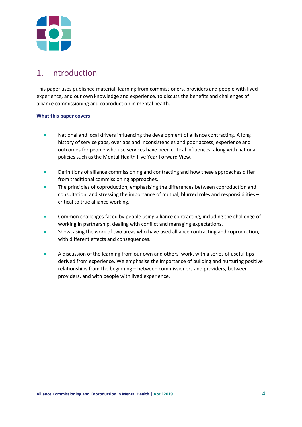

## <span id="page-3-0"></span>1. Introduction

This paper uses published material, learning from commissioners, providers and people with lived experience, and our own knowledge and experience, to discuss the benefits and challenges of alliance commissioning and coproduction in mental health.

#### <span id="page-3-1"></span>**What this paper covers**

- National and local drivers influencing the development of alliance contracting. A long history of service gaps, overlaps and inconsistencies and poor access, experience and outcomes for people who use services have been critical influences, along with national policies such as the Mental Health Five Year Forward View.
- Definitions of alliance commissioning and contracting and how these approaches differ from traditional commissioning approaches.
- The principles of coproduction, emphasising the differences between coproduction and consultation, and stressing the importance of mutual, blurred roles and responsibilities – critical to true alliance working.
- Common challenges faced by people using alliance contracting, including the challenge of working in partnership, dealing with conflict and managing expectations.
- Showcasing the work of two areas who have used alliance contracting and coproduction, with different effects and consequences.
- A discussion of the learning from our own and others' work, with a series of useful tips derived from experience. We emphasise the importance of building and nurturing positive relationships from the beginning – between commissioners and providers, between providers, and with people with lived experience.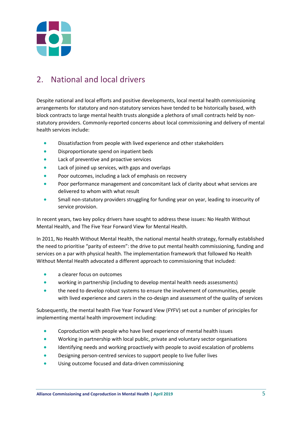

## <span id="page-4-0"></span>2. National and local drivers

Despite national and local efforts and positive developments, local mental health commissioning arrangements for statutory and non-statutory services have tended to be historically based, with block contracts to large mental health trusts alongside a plethora of small contracts held by nonstatutory providers. Commonly-reported concerns about local commissioning and delivery of mental health services include:

- Dissatisfaction from people with lived experience and other stakeholders
- **•** Disproportionate spend on inpatient beds
- Lack of preventive and proactive services
- Lack of joined up services, with gaps and overlaps
- Poor outcomes, including a lack of emphasis on recovery
- Poor performance management and concomitant lack of clarity about what services are delivered to whom with what result
- Small non-statutory providers struggling for funding year on year, leading to insecurity of service provision.

In recent years, two key policy drivers have sought to address these issues: No Health Without Mental Health, and The Five Year Forward View for Mental Health.

In 2011, No Health Without Mental Health, the national mental health strategy, formally established the need to prioritise "parity of esteem": the drive to put mental health commissioning, funding and services on a par with physical health. The implementation framework that followed No Health Without Mental Health advocated a different approach to commissioning that included:

- a clearer focus on outcomes
- working in partnership (including to develop mental health needs assessments)
- the need to develop robust systems to ensure the involvement of communities, people with lived experience and carers in the co-design and assessment of the quality of services

Subsequently, the mental health Five Year Forward View (FYFV) set out a number of principles for implementing mental health improvement including:

- Coproduction with people who have lived experience of mental health issues
- Working in partnership with local public, private and voluntary sector organisations
- Identifying needs and working proactively with people to avoid escalation of problems
- Designing person-centred services to support people to live fuller lives
- Using outcome focused and data-driven commissioning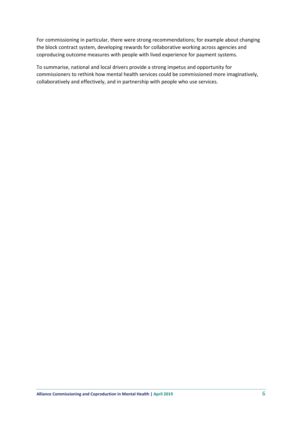For commissioning in particular, there were strong recommendations; for example about changing the block contract system, developing rewards for collaborative working across agencies and coproducing outcome measures with people with lived experience for payment systems.

To summarise, national and local drivers provide a strong impetus and opportunity for commissioners to rethink how mental health services could be commissioned more imaginatively, collaboratively and effectively, and in partnership with people who use services.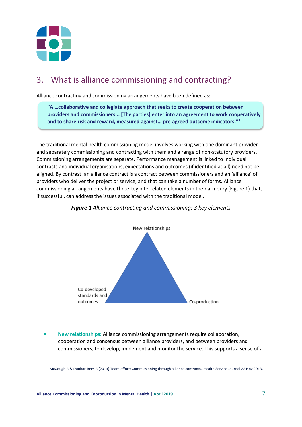

## <span id="page-6-0"></span>3. What is alliance commissioning and contracting?

Alliance contracting and commissioning arrangements have been defined as:

**"A …collaborative and collegiate approach that seeks to create cooperation between providers and commissioners... [The parties] enter into an agreement to work cooperatively and to share risk and reward, measured against… pre-agreed outcome indicators."[1](#page-6-1)**

The traditional mental health commissioning model involves working with one dominant provider and separately commissioning and contracting with them and a range of non-statutory providers. Commissioning arrangements are separate. Performance management is linked to individual contracts and individual organisations, expectations and outcomes (if identified at all) need not be aligned. By contrast, an alliance contract is a contract between commissioners and an 'alliance' of providers who deliver the project or service, and that can take a number of forms. Alliance commissioning arrangements have three key interrelated elements in their armoury (Figure 1) that, if successful, can address the issues associated with the traditional model.



*Figure 1 Alliance contracting and commissioning: 3 key elements*

• **New relationships:** Alliance commissioning arrangements require collaboration, cooperation and consensus between alliance providers, and between providers and commissioners, to develop, implement and monitor the service. This supports a sense of a

<span id="page-6-1"></span> <sup>1</sup> McGough R & Dunbar-Rees R (2013) Team effort: Commissioning through alliance contracts., Health Service Journal 22 Nov 2013.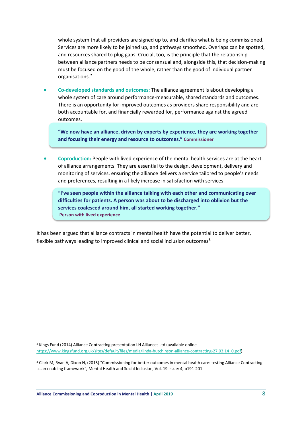whole system that all providers are signed up to, and clarifies what is being commissioned. Services are more likely to be joined up, and pathways smoothed. Overlaps can be spotted, and resources shared to plug gaps. Crucial, too, is the principle that the relationship between alliance partners needs to be consensual and, alongside this, that decision-making must be focused on the good of the whole, rather than the good of individual partner organisations.[2](#page-7-0)

• **Co-developed standards and outcomes:** The alliance agreement is about developing a whole system of care around performance-measurable, shared standards and outcomes. There is an opportunity for improved outcomes as providers share responsibility and are both accountable for, and financially rewarded for, performance against the agreed outcomes.

**"We now have an alliance, driven by experts by experience, they are working together and focusing their energy and resource to outcomes." Commissioner**

• **Coproduction:** People with lived experience of the mental health services are at the heart of alliance arrangements. They are essential to the design, development, delivery and monitoring of services, ensuring the alliance delivers a service tailored to people's needs and preferences, resulting in a likely increase in satisfaction with services.

**"I've seen people within the alliance talking with each other and communicating over difficulties for patients. A person was about to be discharged into oblivion but the services coalesced around him, all started working together." Person with lived experience**

It has been argued that alliance contracts in mental health have the potential to deliver better, flexible pathways leading to improved clinical and social inclusion outcomes<sup>[3](#page-7-1)</sup>

<span id="page-7-0"></span> <sup>2</sup> Kings Fund (2014) Alliance Contracting presentation LH Alliances Ltd (available online [https://www.kingsfund.org.uk/sites/default/files/media/linda-hutchinson-alliance-contracting-27.03.14\\_0.pdf\)](https://www.kingsfund.org.uk/sites/default/files/media/linda-hutchinson-alliance-contracting-27.03.14_0.pdf) 

<span id="page-7-1"></span><sup>3</sup> [Clark](http://www.emeraldinsight.com/author/Clark%2C+Michael) M[, Ryan](http://www.emeraldinsight.com/author/Ryan%2C+Tony) A, [Dixon](http://www.emeraldinsight.com/author/Dixon%2C+Nick) N, (2015) "Commissioning for better outcomes in mental health care: testing Alliance Contracting as an enabling framework", Mental Health and Social Inclusion, Vol. 19 Issue: 4, p191-201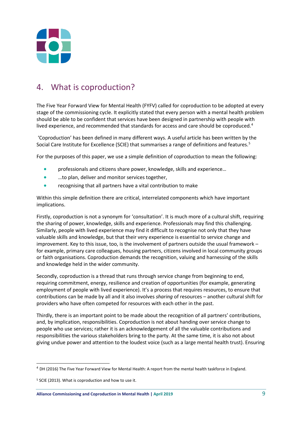

## <span id="page-8-0"></span>4. What is coproduction?

The Five Year Forward View for Mental Health (FYFV) called for coproduction to be adopted at every stage of the commissioning cycle. It explicitly stated that every person with a mental health problem should be able to be confident that services have been designed in partnership with people with lived experience, and recommended that standards for access and care should be coproduced.<sup>4</sup>

'Coproduction' has been defined in many different ways. A useful article has been written by the Social Care Institute for Excellence (SCIE) that summarises a range of definitions and features.<sup>[5](#page-8-2)</sup>

For the purposes of this paper, we use a simple definition of coproduction to mean the following:

- professionals and citizens share power, knowledge, skills and experience...
- …to plan, deliver and monitor services together,
- recognising that all partners have a vital contribution to make

Within this simple definition there are critical, interrelated components which have important implications.

Firstly, coproduction is not a synonym for 'consultation'. It is much more of a cultural shift, requiring the sharing of power, knowledge, skills and experience. Professionals may find this challenging. Similarly, people with lived experience may find it difficult to recognise not only that they have valuable skills and knowledge, but that their very experience is essential to service change and improvement. Key to this issue, too, is the involvement of partners outside the usual framework – for example, primary care colleagues, housing partners, citizens involved in local community groups or faith organisations. Coproduction demands the recognition, valuing and harnessing of the skills and knowledge held in the wider community.

Secondly, coproduction is a thread that runs through service change from beginning to end, requiring commitment, energy, resilience and creation of opportunities (for example, generating employment of people with lived experience). It's a process that requires resources, to ensure that contributions can be made by all and it also involves *sharing* of resources – another cultural shift for providers who have often competed for resources with each other in the past.

Thirdly, there is an important point to be made about the recognition of all partners' contributions, and, by implication, responsibilities. Coproduction is not about handing over service change to people who use services; rather it is an acknowledgement of all the valuable contributions and responsibilities the various stakeholders bring to the party. At the same time, it is also not about giving undue power and attention to the loudest voice (such as a large mental health trust). Ensuring

 $\overline{a}$ 

<span id="page-8-1"></span><sup>4</sup> DH (2016) The Five Year Forward View for Mental Health: A report from the mental health taskforce in England.

<span id="page-8-2"></span><sup>5</sup> SCIE (2013). What is coproduction and how to use it.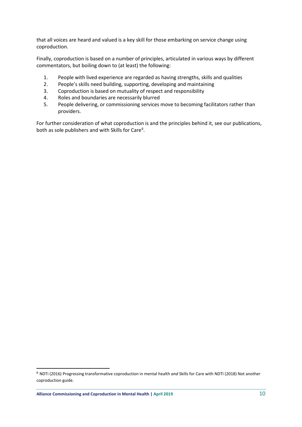that all voices are heard and valued is a key skill for those embarking on service change using coproduction.

Finally, coproduction is based on a number of principles, articulated in various ways by different commentators, but boiling down to (at least) the following:

- 1. People with lived experience are regarded as having strengths, skills and qualities
- 2. People's skills need building, supporting, developing and maintaining
- 3. Coproduction is based on mutuality of respect and responsibility
- 4. Roles and boundaries are necessarily blurred
- 5. People delivering, or commissioning services move to becoming facilitators rather than providers.

For further consideration of what coproduction is and the principles behind it, see our publications, both as sole publishers and with Skills for Care<sup>[6](#page-9-0)</sup>.

 $\overline{a}$ 

<span id="page-9-0"></span><sup>6</sup> NDTi (2016) Progressing transformative coproduction in mental health *and* Skills for Care with NDTI (2018) Not another coproduction guide.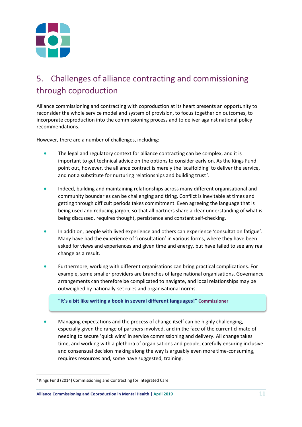

## <span id="page-10-0"></span>5. Challenges of alliance contracting and commissioning through coproduction

Alliance commissioning and contracting with coproduction at its heart presents an opportunity to reconsider the whole service model and system of provision, to focus together on outcomes, to incorporate coproduction into the commissioning process and to deliver against national policy recommendations.

However, there are a number of challenges, including:

- The legal and regulatory context for alliance contracting can be complex, and it is important to get technical advice on the options to consider early on. As the Kings Fund point out, however, the alliance contract is merely the 'scaffolding' to deliver the service, and not a substitute for nurturing relationships and building trust<sup>[7](#page-10-1)</sup>.
- Indeed, building and maintaining relationships across many different organisational and community boundaries can be challenging and tiring. Conflict is inevitable at times and getting through difficult periods takes commitment. Even agreeing the language that is being used and reducing jargon, so that all partners share a clear understanding of what is being discussed, requires thought, persistence and constant self-checking.
- In addition, people with lived experience and others can experience 'consultation fatigue'. Many have had the experience of 'consultation' in various forms, where they have been asked for views and experiences and given time and energy, but have failed to see any real change as a result.
- Furthermore, working with different organisations can bring practical complications. For example, some smaller providers are branches of large national organisations. Governance arrangements can therefore be complicated to navigate, and local relationships may be outweighed by nationally-set rules and organisational norms.

**"It's a bit like writing a book in several different languages!" Commissioner**

• Managing expectations and the process of change itself can be highly challenging, especially given the range of partners involved, and in the face of the current climate of needing to secure 'quick wins' in service commissioning and delivery. All change takes time, and working with a plethora of organisations and people, carefully ensuring inclusive and consensual decision making along the way is arguably even more time-consuming, requires resources and, some have suggested, training.

<span id="page-10-1"></span> <sup>7</sup> Kings Fund (2014) Commissioning and Contracting for Integrated Care.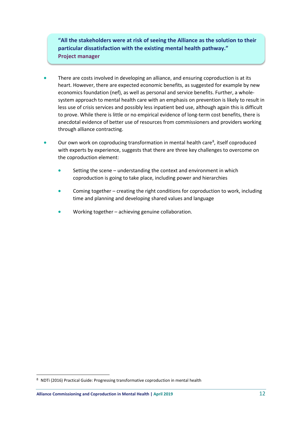**"All the stakeholders were at risk of seeing the Alliance as the solution to their particular dissatisfaction with the existing mental health pathway." Project manager**

- There are costs involved in developing an alliance, and ensuring coproduction is at its heart. However, there are expected economic benefits, as suggested for example by new economics foundation (nef), as well as personal and service benefits. Further, a wholesystem approach to mental health care with an emphasis on prevention is likely to result in less use of crisis services and possibly less inpatient bed use, although again this is difficult to prove. While there is little or no empirical evidence of long-term cost benefits, there is anecdotal evidence of better use of resources from commissioners and providers working through alliance contracting.
- Our own work on coproducing transformation in mental health care<sup>[8](#page-11-0)</sup>, itself coproduced with experts by experience, suggests that there are three key challenges to overcome on the coproduction element:
	- Setting the scene understanding the context and environment in which coproduction is going to take place, including power and hierarchies
	- Coming together creating the right conditions for coproduction to work, including time and planning and developing shared values and language
	- Working together achieving genuine collaboration.

**.** 

<span id="page-11-0"></span><sup>8</sup> NDTi (2016) Practical Guide: Progressing transformative coproduction in mental health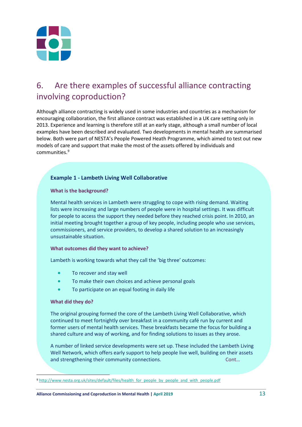

## <span id="page-12-0"></span>6. Are there examples of successful alliance contracting involving coproduction?

Although alliance contracting is widely used in some industries and countries as a mechanism for encouraging collaboration, the first alliance contract was established in a UK care setting only in 2013. Experience and learning is therefore still at an early stage, although a small number of local examples have been described and evaluated. Two developments in mental health are summarised below. Both were part of NESTA's People Powered Heath Programme, which aimed to test out new models of care and support that make the most of the assets offered by individuals and communities.[9](#page-12-2)

### <span id="page-12-1"></span>**Example 1 - Lambeth Living Well Collaborative**

#### **What is the background?**

Mental health services in Lambeth were struggling to cope with rising demand. Waiting lists were increasing and large numbers of people were in hospital settings. It was difficult for people to access the support they needed before they reached crisis point. In 2010, an initial meeting brought together a group of key people, including people who use services, commissioners, and service providers, to develop a shared solution to an increasingly unsustainable situation.

#### **What outcomes did they want to achieve?**

Lambeth is working towards what they call the 'big three' outcomes:

- To recover and stay well
- To make their own choices and achieve personal goals
- To participate on an equal footing in daily life

#### **What did they do?**

The original grouping formed the core of the Lambeth Living Well Collaborative, which continued to meet fortnightly over breakfast in a community café run by current and former users of mental health services. These breakfasts became the focus for building a shared culture and way of working, and for finding solutions to issues as they arose.

A number of linked service developments were set up. These included the Lambeth Living Well Network, which offers early support to help people live well, building on their assets and strengthening their community connections. Cont…

<span id="page-12-2"></span><sup>9</sup> [http://www.nesta.org.uk/sites/default/files/health\\_for\\_people\\_by\\_people\\_and\\_with\\_people.pdf](http://www.nesta.org.uk/sites/default/files/health_for_people_by_people_and_with_people.pdf)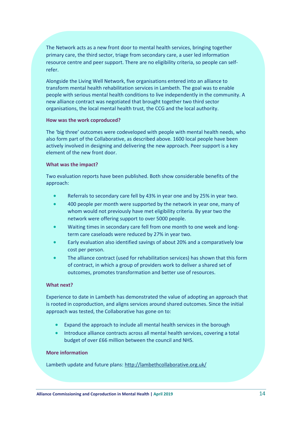The Network acts as a new front door to mental health services, bringing together primary care, the third sector, triage from secondary care, a user led information resource centre and peer support. There are no eligibility criteria, so people can selfrefer.

<span id="page-13-0"></span>Alongside the Living Well Network, five organisations entered into an alliance to transform mental health rehabilitation services in Lambeth. The goal was to enable people with serious mental health conditions to live independently in the community. A new alliance contract was negotiated that brought together two third sector organisations, the local mental health trust, the CCG and the local authority.

#### **How was the work coproduced?**

The 'big three' outcomes were codeveloped with people with mental health needs, who also form part of the Collaborative, as described above. 1600 local people have been actively involved in designing and delivering the new approach. Peer support is a key element of the new front door.

#### **What was the impact?**

Two evaluation reports have been published. Both show considerable benefits of the approach:

- Referrals to secondary care fell by 43% in year one and by 25% in year two.
- 400 people per month were supported by the network in year one, many of whom would not previously have met eligibility criteria. By year two the network were offering support to over 5000 people.
- Waiting times in secondary care fell from one month to one week and longterm care caseloads were reduced by 27% in year two.
- Early evaluation also identified savings of about 20% and a comparatively low cost per person.
- The alliance contract (used for rehabilitation services) has shown that this form of contract, in which a group of providers work to deliver a shared set of outcomes, promotes transformation and better use of resources.

#### **What next?**

Experience to date in Lambeth has demonstrated the value of adopting an approach that is rooted in coproduction, and aligns services around shared outcomes. Since the initial approach was tested, the Collaborative has gone on to:

- Expand the approach to include all mental health services in the borough
- Introduce alliance contracts across all mental health services, covering a total budget of over £66 million between the council and NHS.

#### **More information**

Lambeth update and future plans: [http://lambethcollaborative.org.uk/](http://lambethcollaborative.org.uk/%20f)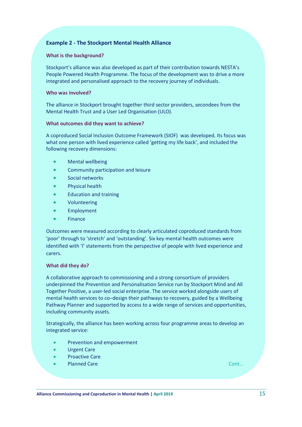### **Example 2 - The Stockport Mental Health Alliance**

#### **What is the background?**

Stockport's alliance was also developed as part of their contribution towards NESTA's People Powered Health Programme. The focus of the development was to drive a more integrated and personalised approach to the recovery journey of individuals.

#### **Who was involved?**

The alliance in Stockport brought together third sector providers, secondees from the Mental Health Trust and a User Led Organisation (ULO).

#### **What outcomes did they want to achieve?**

A coproduced Social Inclusion Outcome Framework (SIOF) was developed. Its focus was what one person with lived experience called 'getting my life back', and included the following recovery dimensions:

- Mental wellbeing
- Community participation and leisure
- Social networks
- Physical health
- Education and training
- Volunteering
- **Employment**
- Finance

Outcomes were measured according to clearly articulated coproduced standards from 'poor' through to 'stretch' and 'outstanding'. Six key mental health outcomes were identified with 'I' statements from the perspective of people with lived experience and carers.

#### **What did they do?**

A collaborative approach to commissioning and a strong consortium of providers underpinned the Prevention and Personalisation Service run by Stockport Mind and All Together Positive, a user-led social enterprise. The service worked alongside users of mental health services to co–design their pathways to recovery, guided by a Wellbeing Pathway Planner and supported by access to a wide range of services and opportunities, including community assets.

Strategically, the alliance has been working across four programme areas to develop an integrated service:

- Prevention and empowerment
- Urgent Care
- **Proactive Care**
- Planned Care Cont… Cont… Cont… Cont… Cont… Cont… Cont… Cont… Cont… Cont… Cont… Cont… Cont

 $\overline{a}$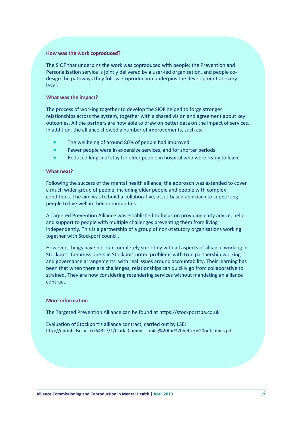#### **How was the work coproduced?**

The SIOF that underpins the work was coproduced with people: the Prevention and Personalisation service is jointly delivered by a user-led organisation, and people codesign the pathways they follow. Coproduction underpins the development at every level.

#### **What was the impact?**

The process of working together to develop the SIOF helped to forge stronger relationships across the system, together with a shared vision and agreement about key outcomes. All the partners are now able to draw on better data on the impact of services. In addition, the alliance showed a number of improvements, such as:

- The wellbeing of around 80% of people had improved
- Fewer people were in expensive services, and for shorter periods
- Reduced length of stay for older people in hospital who were ready to leave

#### **What next?**

Following the success of the mental health alliance, the approach was extended to cover a much wider group of people, including older people and people with complex conditions. The aim was to build a collaborative, asset-based approach to supporting people to live well in their communities.

A Targeted Prevention Alliance was established to focus on providing early advice, help and support to people with multiple challenges preventing them from living independently. This is a partnership of a group of non-statutory organisations working together with Stockport council.

However, things have not run completely smoothly with all aspects of alliance working in Stockport. Commissioners in Stockport noted problems with true partnership working and governance arrangements, with real issues around accountability. Their learning has been that when there are challenges, relationships can quickly go from collaborative to strained. They are now considering retendering services without mandating an alliance contract.

#### **More information**

The Targeted Prevention Alliance can be found at [https://stockporttpa.co.uk](https://stockporttpa.co.uk/)

Evaluation of Stockport's alliance contract, carried out by LSE: [http://eprints.lse.ac.uk/64327/1/Clark\\_Commissioning%20for%20better%20outcomes.pdf](http://eprints.lse.ac.uk/64327/1/Clark_Commissioning%20for%20better%20outcomes.pdf)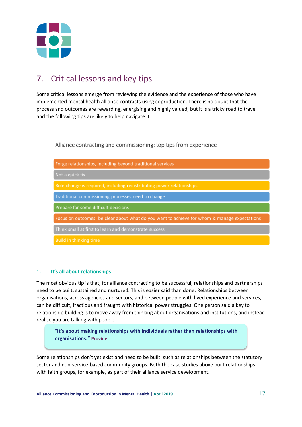

## <span id="page-16-0"></span>7. Critical lessons and key tips

Some critical lessons emerge from reviewing the evidence and the experience of those who have implemented mental health alliance contracts using coproduction. There is no doubt that the process and outcomes are rewarding, energising and highly valued, but it is a tricky road to travel and the following tips are likely to help navigate it.

Alliance contracting and commissioning: top tips from experience

| Forge relationships, including beyond traditional services                                   |  |  |
|----------------------------------------------------------------------------------------------|--|--|
| Not a quick fix                                                                              |  |  |
| Role change is required, including redistributing power relationships                        |  |  |
| Traditional commissioning processes need to change                                           |  |  |
| Prepare for some difficult decisions                                                         |  |  |
| Focus on outcomes: be clear about what do you want to achieve for whom & manage expectations |  |  |
| Think small at first to learn and demonstrate success                                        |  |  |
| Build in thinking time                                                                       |  |  |

#### **1. It's all about relationships**

The most obvious tip is that, for alliance contracting to be successful, relationships and partnerships need to be built, sustained and nurtured. This is easier said than done. Relationships between organisations, across agencies and sectors, and between people with lived experience and services, can be difficult, fractious and fraught with historical power struggles. One person said a key to relationship building is to move away from thinking about organisations and institutions, and instead realise you are talking with people.

**"It's about making relationships with individuals rather than relationships with organisations." Provider**

Some relationships don't yet exist and need to be built, such as relationships between the statutory sector and non-service-based community groups. Both the case studies above built relationships with faith groups, for example, as part of their alliance service development.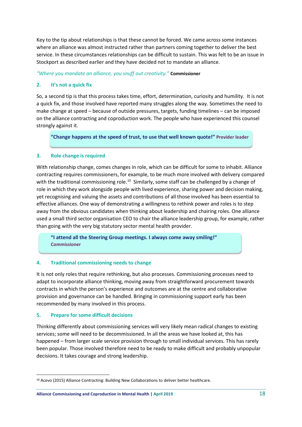Key to the tip about relationships is that these cannot be forced. We came across some instances where an alliance was almost instructed rather than partners coming together to deliver the best service. In these circumstances relationships can be difficult to sustain. This was felt to be an issue in Stockport as described earlier and they have decided not to mandate an alliance.

*"Where you mandate an alliance, you snuff out creativity."* **Commissioner**

#### **2. It's not a quick fix**

So, a second tip is that this process takes time, effort, determination, curiosity and humility. It is not a quick fix, and those involved have reported many struggles along the way. Sometimes the need to make change at speed – because of outside pressures, targets, funding timelines – can be imposed on the alliance contracting and coproduction work. The people who have experienced this counsel strongly against it.

**"Change happens at the speed of trust, to use that well known quote!" Provider leader**

#### **3. Role change is required**

With relationship change, comes changes in role, which can be difficult for some to inhabit. Alliance contracting requires commissioners, for example, to be much more involved with delivery compared with the traditional commissioning role.<sup>[10](#page-17-0)</sup> Similarly, some staff can be challenged by a change of role in which they work alongside people with lived experience, sharing power and decision making, yet recognising and valuing the assets and contributions of all those involved has been essential to effective alliances. One way of demonstrating a willingness to rethink power and roles is to step away from the obvious candidates when thinking about leadership and chairing roles. One alliance used a small third sector organisation CEO to chair the alliance leadership group, for example, rather than going with the very big statutory sector mental health provider.

**"I attend all the Steering Group meetings. I always come away smiling!" Commissioner**

#### **4. Traditional commissioning needs to change**

It is not only roles that require rethinking, but also processes. Commissioning processes need to adapt to incorporate alliance thinking, moving away from straightforward procurement towards contracts in which the person's experience and outcomes are at the centre and collaborative provision and governance can be handled. Bringing in commissioning support early has been recommended by many involved in this process.

#### **5. Prepare for some difficult decisions**

Thinking differently about commissioning services will very likely mean radical changes to existing services; some will need to be decommissioned. In all the areas we have looked at, this has happened – from larger scale service provision through to small individual services. This has rarely been popular. Those involved therefore need to be ready to make difficult and probably unpopular decisions. It takes courage and strong leadership.

<span id="page-17-0"></span><sup>&</sup>lt;sup>10</sup> Acevo (2015) Alliance Contracting: Building New Collaborations to deliver better healthcare.